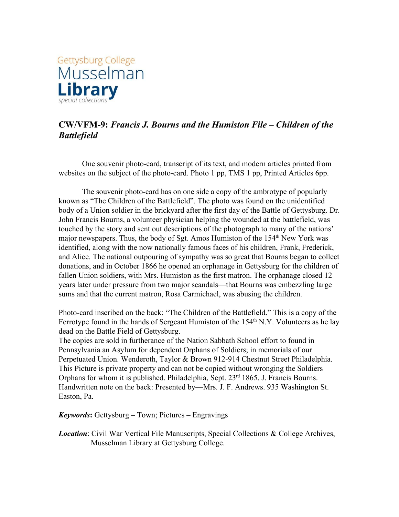

## **CW/VFM-9:** *Francis J. Bourns and the Humiston File – Children of the Battlefield*

One souvenir photo-card, transcript of its text, and modern articles printed from websites on the subject of the photo-card. Photo 1 pp, TMS 1 pp, Printed Articles 6pp.

The souvenir photo-card has on one side a copy of the ambrotype of popularly known as "The Children of the Battlefield". The photo was found on the unidentified body of a Union soldier in the brickyard after the first day of the Battle of Gettysburg. Dr. John Francis Bourns, a volunteer physician helping the wounded at the battlefield, was touched by the story and sent out descriptions of the photograph to many of the nations' major newspapers. Thus, the body of Sgt. Amos Humiston of the 154<sup>th</sup> New York was identified, along with the now nationally famous faces of his children, Frank, Frederick, and Alice. The national outpouring of sympathy was so great that Bourns began to collect donations, and in October 1866 he opened an orphanage in Gettysburg for the children of fallen Union soldiers, with Mrs. Humiston as the first matron. The orphanage closed 12 years later under pressure from two major scandals—that Bourns was embezzling large sums and that the current matron, Rosa Carmichael, was abusing the children.

Photo-card inscribed on the back: "The Children of the Battlefield." This is a copy of the Ferrotype found in the hands of Sergeant Humiston of the 154<sup>th</sup> N.Y. Volunteers as he lay dead on the Battle Field of Gettysburg.

The copies are sold in furtherance of the Nation Sabbath School effort to found in Pennsylvania an Asylum for dependent Orphans of Soldiers; in memorials of our Perpetuated Union. Wenderoth, Taylor & Brown 912-914 Chestnut Street Philadelphia. This Picture is private property and can not be copied without wronging the Soldiers Orphans for whom it is published. Philadelphia, Sept. 23<sup>rd</sup> 1865. J. Francis Bourns. Handwritten note on the back: Presented by—Mrs. J. F. Andrews. 935 Washington St. Easton, Pa.

*Keywords***:** Gettysburg – Town; Pictures – Engravings

*Location*: Civil War Vertical File Manuscripts, Special Collections & College Archives, Musselman Library at Gettysburg College.